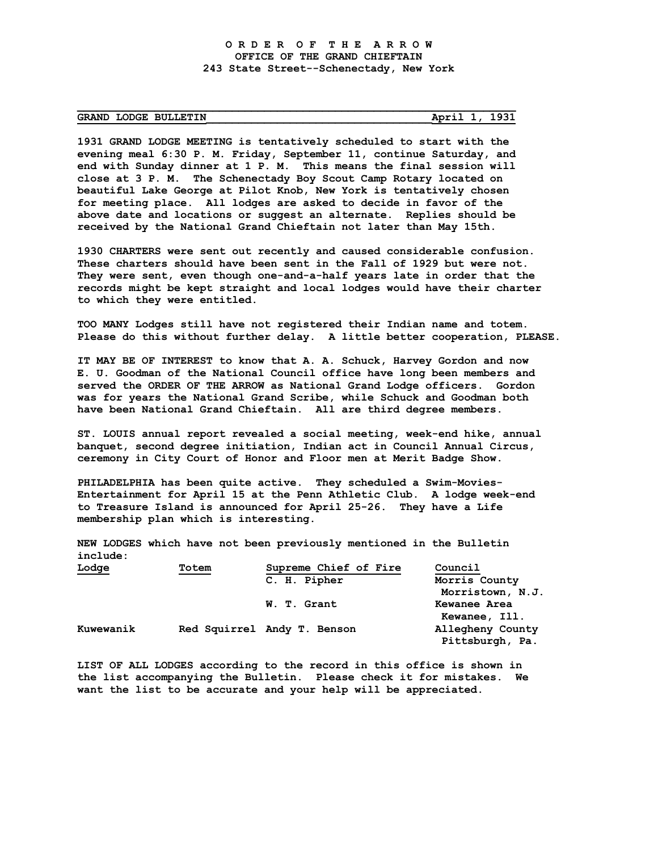## **GRAND LODGE BULLETIN\_\_\_\_\_\_\_\_\_\_\_\_\_\_\_\_\_\_\_\_\_\_\_\_\_\_\_\_\_\_\_\_\_\_\_April 1, 1931**

**1931 GRAND LODGE MEETING is tentatively scheduled to start with the evening meal 6:30 P. M. Friday, September 11, continue Saturday, and end with Sunday dinner at 1 P. M. This means the final session will close at 3 P. M. The Schenectady Boy Scout Camp Rotary located on beautiful Lake George at Pilot Knob, New York is tentatively chosen for meeting place. All lodges are asked to decide in favor of the above date and locations or suggest an alternate. Replies should be received by the National Grand Chieftain not later than May 15th.**

**\_\_\_\_\_\_\_\_\_\_\_\_\_\_\_\_\_\_\_\_\_\_\_\_\_\_\_\_\_\_\_\_\_\_\_\_\_\_\_\_\_\_\_\_\_\_\_\_\_\_\_\_\_\_\_\_\_\_\_\_\_\_\_\_\_\_\_\_**

**1930 CHARTERS were sent out recently and caused considerable confusion. These charters should have been sent in the Fall of 1929 but were not. They were sent, even though one-and-a-half years late in order that the records might be kept straight and local lodges would have their charter to which they were entitled.**

**TOO MANY Lodges still have not registered their Indian name and totem. Please do this without further delay. A little better cooperation, PLEASE.**

**IT MAY BE OF INTEREST to know that A. A. Schuck, Harvey Gordon and now E. U. Goodman of the National Council office have long been members and served the ORDER OF THE ARROW as National Grand Lodge officers. Gordon was for years the National Grand Scribe, while Schuck and Goodman both have been National Grand Chieftain. All are third degree members.**

**ST. LOUIS annual report revealed a social meeting, week-end hike, annual banquet, second degree initiation, Indian act in Council Annual Circus, ceremony in City Court of Honor and Floor men at Merit Badge Show.**

**PHILADELPHIA has been quite active. They scheduled a Swim-Movies-Entertainment for April 15 at the Penn Athletic Club. A lodge week-end to Treasure Island is announced for April 25-26. They have a Life membership plan which is interesting.**

**NEW LODGES which have not been previously mentioned in the Bulletin include:**

| <u>Lodge</u> | Totem | Supreme Chief of Fire       | Council          |
|--------------|-------|-----------------------------|------------------|
|              |       | C. H. Pipher                | Morris County    |
|              |       |                             | Morristown, N.J. |
|              |       | W. T. Grant                 | Kewanee Area     |
|              |       |                             | Kewanee, Ill.    |
| Kuwewanik    |       | Red Squirrel Andy T. Benson | Allegheny County |
|              |       |                             | Pittsburgh, Pa.  |

**LIST OF ALL LODGES according to the record in this office is shown in the list accompanying the Bulletin. Please check it for mistakes. We want the list to be accurate and your help will be appreciated.**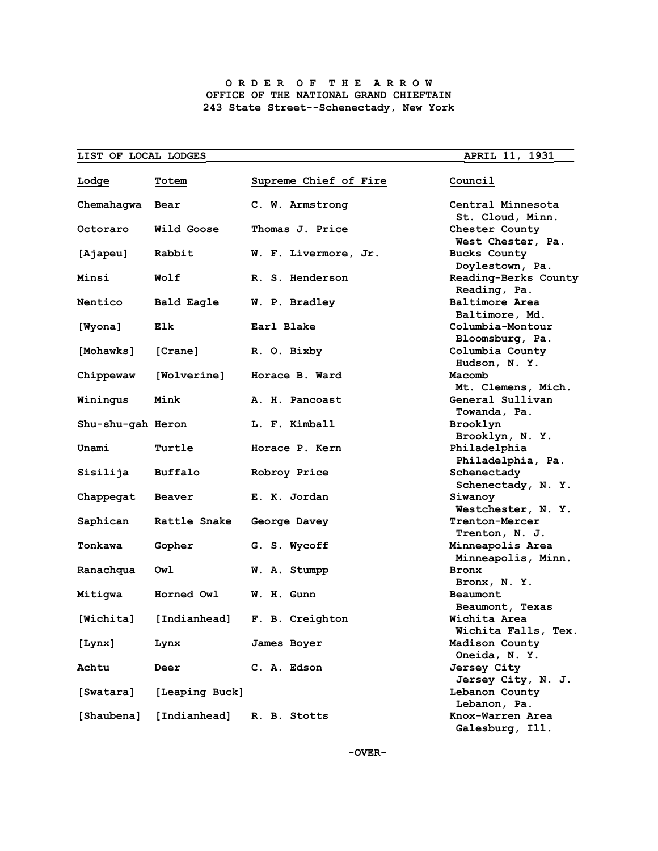## **O R D E R O F T H E A R R O W OFFICE OF THE NATIONAL GRAND CHIEFTAIN 243 State Street--Schenectady, New York**

| LIST OF LOCAL LODGES                                                                                                                                                                                                                                                                                                                                                                                                                                                                                    |                |                       | <b>APRIL 11, 1931</b>                                    |
|---------------------------------------------------------------------------------------------------------------------------------------------------------------------------------------------------------------------------------------------------------------------------------------------------------------------------------------------------------------------------------------------------------------------------------------------------------------------------------------------------------|----------------|-----------------------|----------------------------------------------------------|
| Lodge                                                                                                                                                                                                                                                                                                                                                                                                                                                                                                   | Totem          | Supreme Chief of Fire | Council                                                  |
| Chemahaqwa                                                                                                                                                                                                                                                                                                                                                                                                                                                                                              | Bear           | C. W. Armstrong       | Central Minnesota<br>St. Cloud, Minn.                    |
| Octoraro                                                                                                                                                                                                                                                                                                                                                                                                                                                                                                | Wild Goose     | Thomas J. Price       | Chester County<br>West Chester, Pa.                      |
| [Ajapeu]                                                                                                                                                                                                                                                                                                                                                                                                                                                                                                | Rabbit         | W. F. Livermore, Jr.  | <b>Bucks County</b><br>Doylestown, Pa.                   |
| Minsi                                                                                                                                                                                                                                                                                                                                                                                                                                                                                                   | Wolf           | R. S. Henderson       | Reading-Berks County<br>Reading, Pa.                     |
| Nentico                                                                                                                                                                                                                                                                                                                                                                                                                                                                                                 | Bald Eagle     | W. P. Bradley         | <b>Baltimore Area</b><br>Baltimore, Md.                  |
| [Wyona]                                                                                                                                                                                                                                                                                                                                                                                                                                                                                                 | Elk            | Earl Blake            | Columbia-Montour<br>Bloomsburg, Pa.                      |
| [Mohawks]                                                                                                                                                                                                                                                                                                                                                                                                                                                                                               | [Crane]        | R. O. Bixby           | Columbia County<br>Hudson, N.Y.                          |
| Chippewaw                                                                                                                                                                                                                                                                                                                                                                                                                                                                                               | [Wolverine]    | Horace B. Ward        | Macomb<br>Mt. Clemens, Mich.                             |
| Winingus                                                                                                                                                                                                                                                                                                                                                                                                                                                                                                | Mink           | A. H. Pancoast        | General Sullivan<br>Towanda, Pa.                         |
| Shu-shu-gah Heron                                                                                                                                                                                                                                                                                                                                                                                                                                                                                       |                | L. F. Kimball         | Brooklyn                                                 |
| Unami                                                                                                                                                                                                                                                                                                                                                                                                                                                                                                   | Turtle         | Horace P. Kern        | Brooklyn, N.Y.<br>Philadelphia                           |
| Sisilija                                                                                                                                                                                                                                                                                                                                                                                                                                                                                                | Buffalo        | Robroy Price          | Philadelphia, Pa.<br>Schenectady                         |
| Chappegat                                                                                                                                                                                                                                                                                                                                                                                                                                                                                               | Beaver         | E. K. Jordan          | Schenectady, N.Y.<br>Siwanoy                             |
| Saphican                                                                                                                                                                                                                                                                                                                                                                                                                                                                                                | Rattle Snake   | George Davey          | Westchester, N. Y.<br><b>Trenton-Mercer</b>              |
| Tonkawa                                                                                                                                                                                                                                                                                                                                                                                                                                                                                                 | Gopher         | G. S. Wycoff          | Trenton, N. J.<br>Minneapolis Area<br>Minneapolis, Minn. |
| Ranachqua                                                                                                                                                                                                                                                                                                                                                                                                                                                                                               | Owl            | W. A. Stumpp          | <b>Bronx</b><br>Bronx, N.Y.                              |
| Mitigwa                                                                                                                                                                                                                                                                                                                                                                                                                                                                                                 | Horned Owl     | W. H. Gunn            | Beaumont<br>Beaumont, Texas                              |
| $[Whichita]% \label{thm:nonlocal}% \begin{center} \parbox{2.6in}{\includegraphics[width=2.6in]{KM1000N1000.pdf}}% \hspace{0.25in}% \parbox{2.6in}{\includegraphics[width=2.6in]{KM1000N1000.pdf}}% \caption{The figure of the three different states of the $L^2$-error of the $L^2$-error of the $L^2$-error of the $L^2$-error of the $L^2$-error of the $L^2$-error of the $L^2$-error of the $L^2$-error of the $L^2$-error of the $L^2$-error of the $L^2$-error of the $L^2$-error of the $L^2$-$ | [Indianhead]   | F. B. Creighton       | Wichita Area<br>Wichita Falls, Tex.                      |
| [Lynx]                                                                                                                                                                                                                                                                                                                                                                                                                                                                                                  | Lynx           | James Boyer           | Madison County<br>Oneida, N. Y.                          |
| Achtu                                                                                                                                                                                                                                                                                                                                                                                                                                                                                                   | Deer           | C. A. Edson           | <b>Jersey City</b>                                       |
| [Swatara]                                                                                                                                                                                                                                                                                                                                                                                                                                                                                               | [Leaping Buck] |                       | Jersey City, N. J.<br>Lebanon County                     |
| [Shaubena]                                                                                                                                                                                                                                                                                                                                                                                                                                                                                              | [Indianhead]   | R. B. Stotts          | Lebanon, Pa.<br>Knox-Warren Area<br>Galesburg, Ill.      |

 **-OVER-**